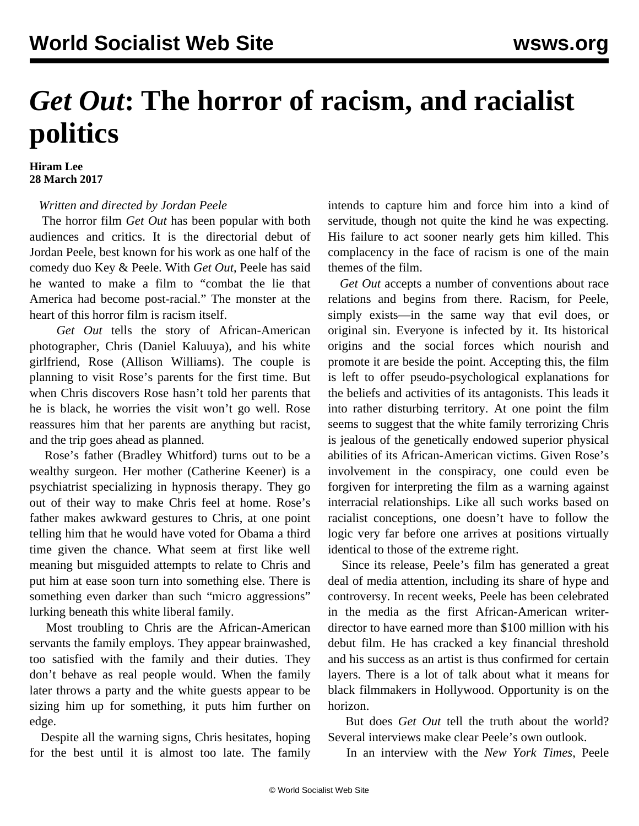## *Get Out***: The horror of racism, and racialist politics**

## **Hiram Lee 28 March 2017**

## *Written and directed by Jordan Peele*

 The horror film *Get Out* has been popular with both audiences and critics. It is the directorial debut of Jordan Peele, best known for his work as one half of the comedy duo Key & Peele. With *Get Out*, Peele has said he wanted to make a film to "combat the lie that America had become post-racial." The monster at the heart of this horror film is racism itself.

 *Get Out* tells the story of African-American photographer, Chris (Daniel Kaluuya), and his white girlfriend, Rose (Allison Williams). The couple is planning to visit Rose's parents for the first time. But when Chris discovers Rose hasn't told her parents that he is black, he worries the visit won't go well. Rose reassures him that her parents are anything but racist, and the trip goes ahead as planned.

 Rose's father (Bradley Whitford) turns out to be a wealthy surgeon. Her mother (Catherine Keener) is a psychiatrist specializing in hypnosis therapy. They go out of their way to make Chris feel at home. Rose's father makes awkward gestures to Chris, at one point telling him that he would have voted for Obama a third time given the chance. What seem at first like well meaning but misguided attempts to relate to Chris and put him at ease soon turn into something else. There is something even darker than such "micro aggressions" lurking beneath this white liberal family.

 Most troubling to Chris are the African-American servants the family employs. They appear brainwashed, too satisfied with the family and their duties. They don't behave as real people would. When the family later throws a party and the white guests appear to be sizing him up for something, it puts him further on edge.

 Despite all the warning signs, Chris hesitates, hoping for the best until it is almost too late. The family intends to capture him and force him into a kind of servitude, though not quite the kind he was expecting. His failure to act sooner nearly gets him killed. This complacency in the face of racism is one of the main themes of the film.

 *Get Out* accepts a number of conventions about race relations and begins from there. Racism, for Peele, simply exists—in the same way that evil does, or original sin. Everyone is infected by it. Its historical origins and the social forces which nourish and promote it are beside the point. Accepting this, the film is left to offer pseudo-psychological explanations for the beliefs and activities of its antagonists. This leads it into rather disturbing territory. At one point the film seems to suggest that the white family terrorizing Chris is jealous of the genetically endowed superior physical abilities of its African-American victims. Given Rose's involvement in the conspiracy, one could even be forgiven for interpreting the film as a warning against interracial relationships. Like all such works based on racialist conceptions, one doesn't have to follow the logic very far before one arrives at positions virtually identical to those of the extreme right.

 Since its release, Peele's film has generated a great deal of media attention, including its share of hype and controversy. In recent weeks, Peele has been celebrated in the media as the first African-American writerdirector to have earned more than \$100 million with his debut film. He has cracked a key financial threshold and his success as an artist is thus confirmed for certain layers. There is a lot of talk about what it means for black filmmakers in Hollywood. Opportunity is on the horizon.

 But does *Get Out* tell the truth about the world? Several interviews make clear Peele's own outlook.

In an interview with the *New York Times*, Peele